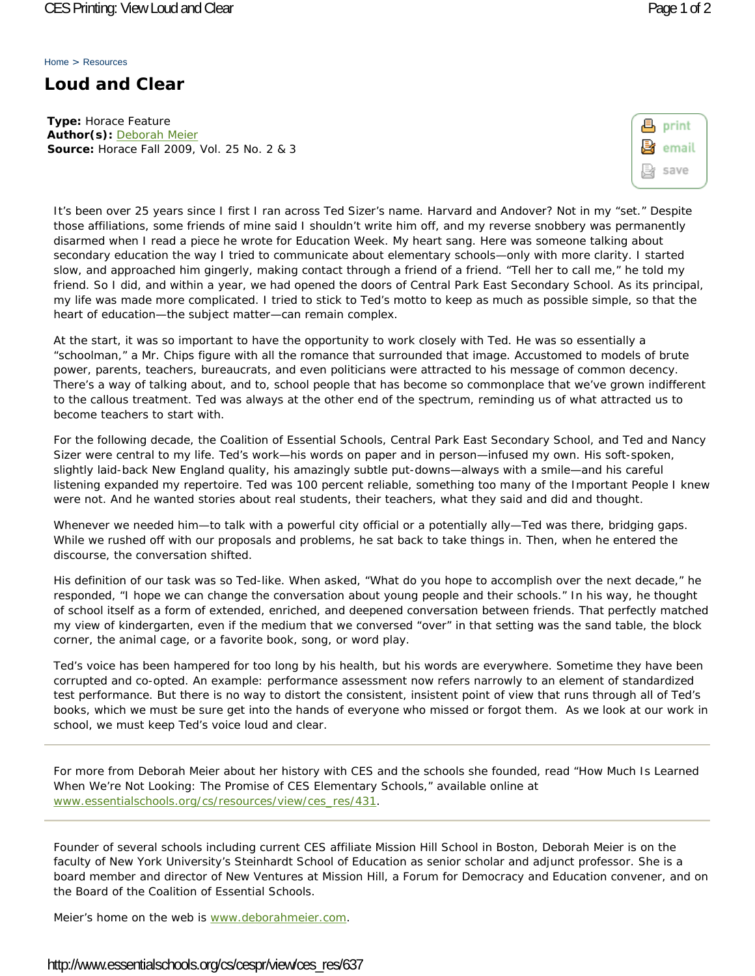Home > Resources

## **Loud and Clear**

**Type:** Horace Feature **Author(s):** Deborah Meier **Source:** *Horace* Fall 2009, Vol. 25 No. 2 & 3

| 8 | print |
|---|-------|
| R | email |
|   | save  |

It's been over 25 years since I first I ran across Ted Sizer's name. Harvard and Andover? Not in my "set." Despite those affiliations, some friends of mine said I shouldn't write him off, and my reverse snobbery was permanently disarmed when I read a piece he wrote for Education Week. My heart sang. Here was someone talking about secondary education the way I tried to communicate about elementary schools—only with more clarity. I started slow, and approached him gingerly, making contact through a friend of a friend. "Tell her to call me," he told my friend. So I did, and within a year, we had opened the doors of Central Park East Secondary School. As its principal, my life was made more complicated. I tried to stick to Ted's motto to keep as much as possible simple, so that the heart of education—the subject matter—can remain complex.

At the start, it was so important to have the opportunity to work closely with Ted. He was so essentially a "schoolman," a Mr. Chips figure with all the romance that surrounded that image. Accustomed to models of brute power, parents, teachers, bureaucrats, and even politicians were attracted to his message of common decency. There's a way of talking about, and to, school people that has become so commonplace that we've grown indifferent to the callous treatment. Ted was always at the other end of the spectrum, reminding us of what attracted us to become teachers to start with.

For the following decade, the Coalition of Essential Schools, Central Park East Secondary School, and Ted and Nancy Sizer were central to my life. Ted's work—his words on paper and in person—infused my own. His soft-spoken, slightly laid-back New England quality, his amazingly subtle put-downs—always with a smile—and his careful listening expanded my repertoire. Ted was 100 percent reliable, something too many of the Important People I knew were not. And he wanted stories about real students, their teachers, what they said and did and thought.

Whenever we needed him—to talk with a powerful city official or a potentially ally—Ted was there, bridging gaps. While we rushed off with our proposals and problems, he sat back to take things in. Then, when he entered the discourse, the conversation shifted.

His definition of our task was so Ted-like. When asked, "What do you hope to accomplish over the next decade," he responded, "I hope we can change the conversation about young people and their schools." In his way, he thought of school itself as a form of extended, enriched, and deepened conversation between friends. That perfectly matched my view of kindergarten, even if the medium that we conversed "over" in that setting was the sand table, the block corner, the animal cage, or a favorite book, song, or word play.

Ted's voice has been hampered for too long by his health, but his words are everywhere. Sometime they have been corrupted and co-opted. An example: performance assessment now refers narrowly to an element of standardized test performance. But there is no way to distort the consistent, insistent point of view that runs through all of Ted's books, which we must be sure get into the hands of everyone who missed or forgot them. As we look at our work in school, we must keep Ted's voice loud and clear.

For more from Deborah Meier about her history with CES and the schools she founded, read "How Much Is Learned When We're Not Looking: The Promise of CES Elementary Schools," available online at www.essentialschools.org/cs/resources/view/ces\_res/431.

Founder of several schools including current CES affiliate Mission Hill School in Boston, Deborah Meier is on the faculty of New York University's Steinhardt School of Education as senior scholar and adjunct professor. She is a board member and director of New Ventures at Mission Hill, a Forum for Democracy and Education convener, and on the Board of the Coalition of Essential Schools.

Meier's home on the web is www.deborahmeier.com.